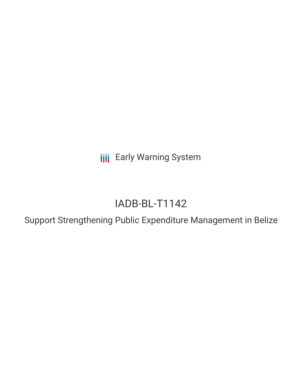**III** Early Warning System

# IADB-BL-T1142

Support Strengthening Public Expenditure Management in Belize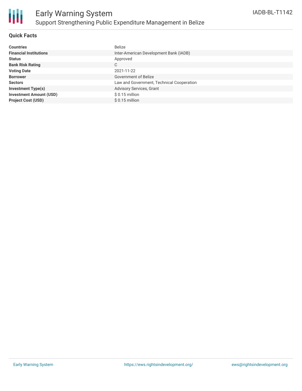

### **Quick Facts**

| <b>Countries</b>               | <b>Belize</b>                             |
|--------------------------------|-------------------------------------------|
| <b>Financial Institutions</b>  | Inter-American Development Bank (IADB)    |
| <b>Status</b>                  | Approved                                  |
| <b>Bank Risk Rating</b>        | С                                         |
| <b>Voting Date</b>             | 2021-11-22                                |
| <b>Borrower</b>                | Government of Belize                      |
| <b>Sectors</b>                 | Law and Government, Technical Cooperation |
| <b>Investment Type(s)</b>      | Advisory Services, Grant                  |
| <b>Investment Amount (USD)</b> | $$0.15$ million                           |
| <b>Project Cost (USD)</b>      | $$0.15$ million                           |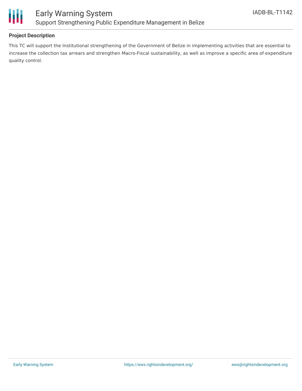

### **Project Description**

This TC will support the Institutional strengthening of the Government of Belize in implementing activities that are essential to increase the collection tax arrears and strengthen Macro-Fiscal sustainability, as well as improve a specific area of expenditure quality control.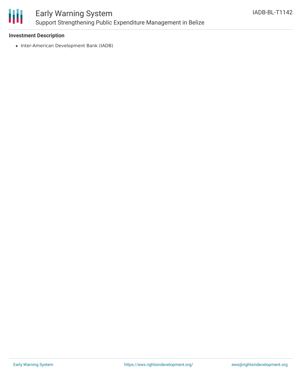

## Early Warning System Support Strengthening Public Expenditure Management in Belize

### **Investment Description**

• Inter-American Development Bank (IADB)